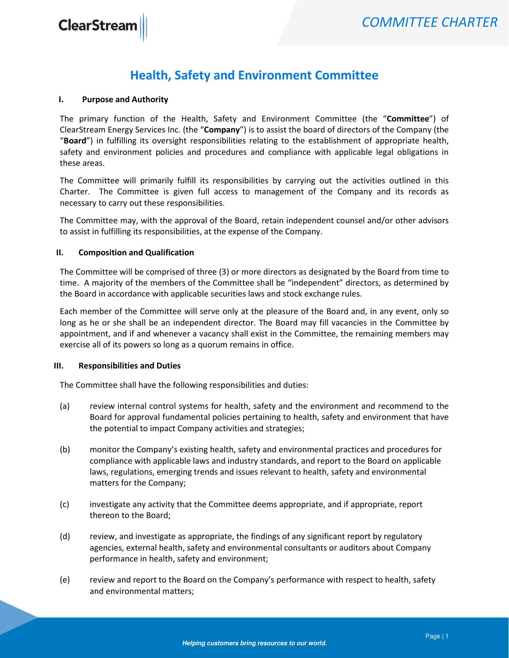## Health, Safety and Environment Committee

#### I. Purpose and Authority

The primary function of the Health, Safety and Environment Committee (the "Committee") of ClearStream Energy Services Inc. (the "Company") is to assist the board of directors of the Company (the "Board") in fulfilling its oversight responsibilities relating to the establishment of appropriate health, safety and environment policies and procedures and compliance with applicable legal obligations in these areas.

The Committee will primarily fulfill its responsibilities by carrying out the activities outlined in this Charter. The Committee is given full access to management of the Company and its records as necessary to carry out these responsibilities.

The Committee may, with the approval of the Board, retain independent counsel and/or other advisors to assist in fulfilling its responsibilities, at the expense of the Company.

#### II. Composition and Qualification

The Committee will be comprised of three (3) or more directors as designated by the Board from time to time. A majority of the members of the Committee shall be "independent" directors, as determined by the Board in accordance with applicable securities laws and stock exchange rules.

Each member of the Committee will serve only at the pleasure of the Board and, in any event, only so long as he or she shall be an independent director. The Board may fill vacancies in the Committee by appointment, and if and whenever a vacancy shall exist in the Committee, the remaining members may exercise all of its powers so long as a quorum remains in office.

#### III. Responsibilities and Duties

The Committee shall have the following responsibilities and duties:

- (a) review internal control systems for health, safety and the environment and recommend to the Board for approval fundamental policies pertaining to health, safety and environment that have the potential to impact Company activities and strategies;
- (b) monitor the Company's existing health, safety and environmental practices and procedures for compliance with applicable laws and industry standards, and report to the Board on applicable laws, regulations, emerging trends and issues relevant to health, safety and environmental matters for the Company;
- (c) investigate any activity that the Committee deems appropriate, and if appropriate, report thereon to the Board;
- (d) review, and investigate as appropriate, the findings of any significant report by regulatory agencies, external health, safety and environmental consultants or auditors about Company performance in health, safety and environment;
- (e) review and report to the Board on the Company's performance with respect to health, safety and environmental matters;